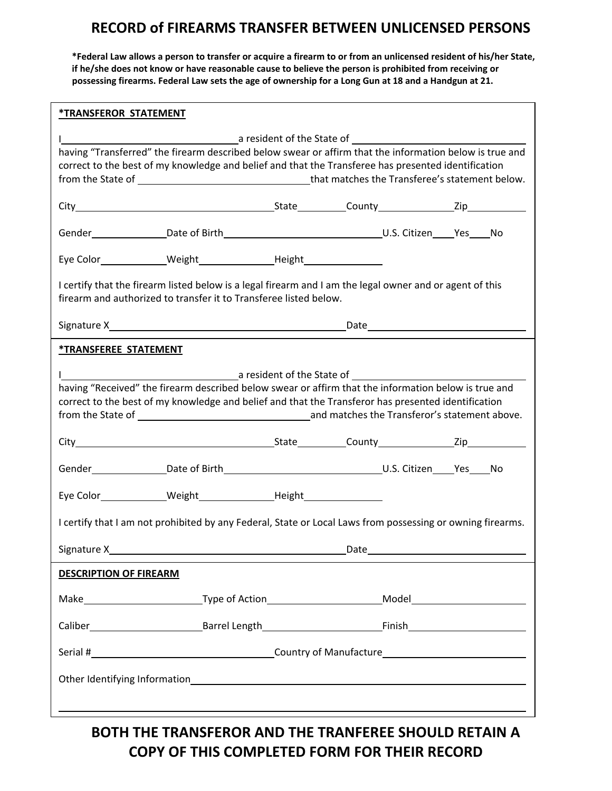# **RECORD of FIREARMS TRANSFER BETWEEN UNLICENSED PERSONS**

\*Federal Law allows a person to transfer or acquire a firearm to or from an unlicensed resident of his/her State, if he/she does not know or have reasonable cause to believe the person is prohibited from receiving or possessing firearms. Federal Law sets the age of ownership for a Long Gun at 18 and a Handgun at 21.

| <b><i>*TRANSFEROR STATEMENT</i></b>                                                                                                                                                                                                                                                         |                                                                                                                |             |  |  |  |  |  |
|---------------------------------------------------------------------------------------------------------------------------------------------------------------------------------------------------------------------------------------------------------------------------------------------|----------------------------------------------------------------------------------------------------------------|-------------|--|--|--|--|--|
| having "Transferred" the firearm described below swear or affirm that the information below is true and<br>correct to the best of my knowledge and belief and that the Transferee has presented identification                                                                              |                                                                                                                |             |  |  |  |  |  |
|                                                                                                                                                                                                                                                                                             |                                                                                                                |             |  |  |  |  |  |
|                                                                                                                                                                                                                                                                                             |                                                                                                                |             |  |  |  |  |  |
|                                                                                                                                                                                                                                                                                             |                                                                                                                |             |  |  |  |  |  |
| I certify that the firearm listed below is a legal firearm and I am the legal owner and or agent of this<br>firearm and authorized to transfer it to Transferee listed below.                                                                                                               |                                                                                                                |             |  |  |  |  |  |
|                                                                                                                                                                                                                                                                                             |                                                                                                                |             |  |  |  |  |  |
| <b><i>*TRANSFEREE STATEMENT</i></b>                                                                                                                                                                                                                                                         |                                                                                                                |             |  |  |  |  |  |
| having "Received" the firearm described below swear or affirm that the information below is true and<br>correct to the best of my knowledge and belief and that the Transferor has presented identification<br>from the State of 1000 million and matches the Transferor's statement above. |                                                                                                                |             |  |  |  |  |  |
|                                                                                                                                                                                                                                                                                             |                                                                                                                |             |  |  |  |  |  |
|                                                                                                                                                                                                                                                                                             |                                                                                                                |             |  |  |  |  |  |
|                                                                                                                                                                                                                                                                                             |                                                                                                                |             |  |  |  |  |  |
| I certify that I am not prohibited by any Federal, State or Local Laws from possessing or owning firearms.                                                                                                                                                                                  |                                                                                                                |             |  |  |  |  |  |
| Signature X___                                                                                                                                                                                                                                                                              |                                                                                                                | <u>Date</u> |  |  |  |  |  |
| <b>DESCRIPTION OF FIREARM</b>                                                                                                                                                                                                                                                               |                                                                                                                |             |  |  |  |  |  |
|                                                                                                                                                                                                                                                                                             | Make_______________________________Type of Action_______________________________Model_________________________ |             |  |  |  |  |  |
|                                                                                                                                                                                                                                                                                             |                                                                                                                |             |  |  |  |  |  |
|                                                                                                                                                                                                                                                                                             |                                                                                                                |             |  |  |  |  |  |
|                                                                                                                                                                                                                                                                                             |                                                                                                                |             |  |  |  |  |  |
|                                                                                                                                                                                                                                                                                             |                                                                                                                |             |  |  |  |  |  |

**BOTH THE TRANSFEROR AND THE TRANFEREE SHOULD RETAIN A COPY OF THIS COMPLETED FORM FOR THEIR RECORD**